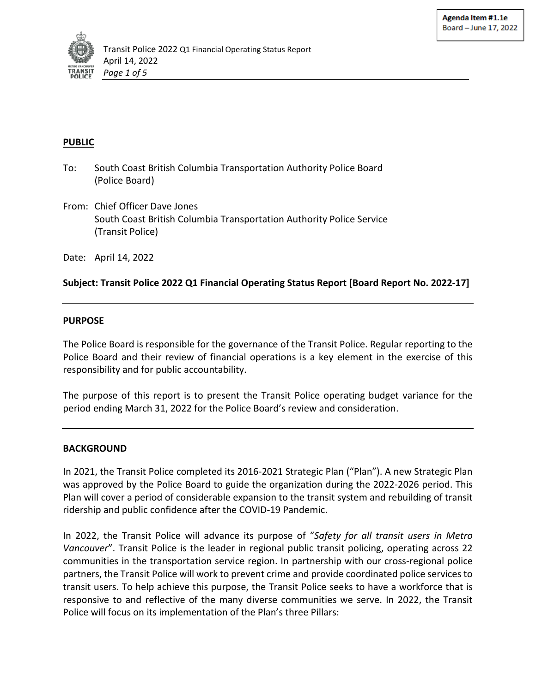

#### **PUBLIC**

- To: South Coast British Columbia Transportation Authority Police Board (Police Board)
- From: Chief Officer Dave Jones South Coast British Columbia Transportation Authority Police Service (Transit Police)

Date: April 14, 2022

## **Subject: Transit Police 2022 Q1 Financial Operating Status Report [Board Report No. 2022-17]**

#### **PURPOSE**

The Police Board is responsible for the governance of the Transit Police. Regular reporting to the Police Board and their review of financial operations is a key element in the exercise of this responsibility and for public accountability.

The purpose of this report is to present the Transit Police operating budget variance for the period ending March 31, 2022 for the Police Board's review and consideration.

#### **BACKGROUND**

In 2021, the Transit Police completed its 2016-2021 Strategic Plan ("Plan"). A new Strategic Plan was approved by the Police Board to guide the organization during the 2022-2026 period. This Plan will cover a period of considerable expansion to the transit system and rebuilding of transit ridership and public confidence after the COVID-19 Pandemic.

In 2022, the Transit Police will advance its purpose of "*Safety for all transit users in Metro Vancouver*". Transit Police is the leader in regional public transit policing, operating across 22 communities in the transportation service region. In partnership with our cross-regional police partners, the Transit Police will work to prevent crime and provide coordinated police services to transit users. To help achieve this purpose, the Transit Police seeks to have a workforce that is responsive to and reflective of the many diverse communities we serve. In 2022, the Transit Police will focus on its implementation of the Plan's three Pillars: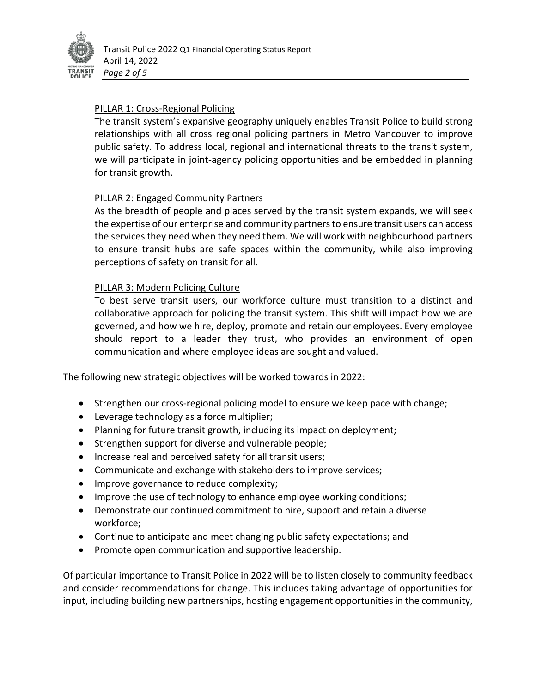

## PILLAR 1: Cross-Regional Policing

The transit system's expansive geography uniquely enables Transit Police to build strong relationships with all cross regional policing partners in Metro Vancouver to improve public safety. To address local, regional and international threats to the transit system, we will participate in joint-agency policing opportunities and be embedded in planning for transit growth.

### PILLAR 2: Engaged Community Partners

As the breadth of people and places served by the transit system expands, we will seek the expertise of our enterprise and community partners to ensure transit users can access the services they need when they need them. We will work with neighbourhood partners to ensure transit hubs are safe spaces within the community, while also improving perceptions of safety on transit for all.

### PILLAR 3: Modern Policing Culture

To best serve transit users, our workforce culture must transition to a distinct and collaborative approach for policing the transit system. This shift will impact how we are governed, and how we hire, deploy, promote and retain our employees. Every employee should report to a leader they trust, who provides an environment of open communication and where employee ideas are sought and valued.

The following new strategic objectives will be worked towards in 2022:

- Strengthen our cross-regional policing model to ensure we keep pace with change;
- Leverage technology as a force multiplier;
- Planning for future transit growth, including its impact on deployment;
- Strengthen support for diverse and vulnerable people;
- Increase real and perceived safety for all transit users;
- Communicate and exchange with stakeholders to improve services;
- Improve governance to reduce complexity;
- Improve the use of technology to enhance employee working conditions;
- Demonstrate our continued commitment to hire, support and retain a diverse workforce;
- Continue to anticipate and meet changing public safety expectations; and
- Promote open communication and supportive leadership.

Of particular importance to Transit Police in 2022 will be to listen closely to community feedback and consider recommendations for change. This includes taking advantage of opportunities for input, including building new partnerships, hosting engagement opportunities in the community,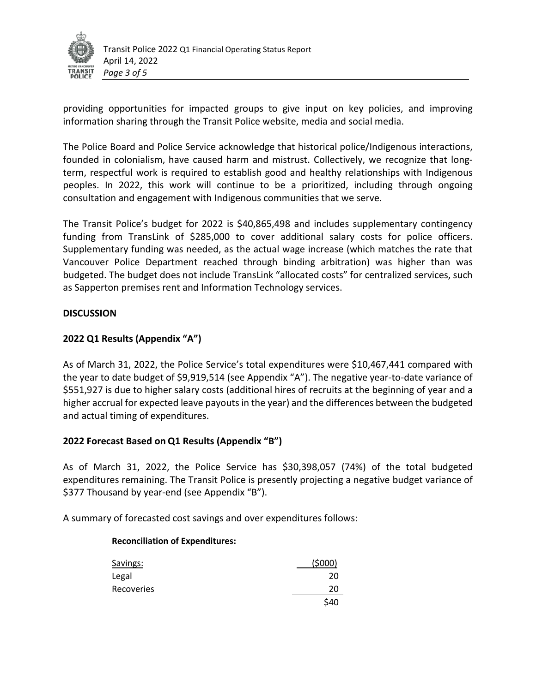

providing opportunities for impacted groups to give input on key policies, and improving information sharing through the Transit Police website, media and social media.

The Police Board and Police Service acknowledge that historical police/Indigenous interactions, founded in colonialism, have caused harm and mistrust. Collectively, we recognize that longterm, respectful work is required to establish good and healthy relationships with Indigenous peoples. In 2022, this work will continue to be a prioritized, including through ongoing consultation and engagement with Indigenous communities that we serve.

The Transit Police's budget for 2022 is \$40,865,498 and includes supplementary contingency funding from TransLink of \$285,000 to cover additional salary costs for police officers. Supplementary funding was needed, as the actual wage increase (which matches the rate that Vancouver Police Department reached through binding arbitration) was higher than was budgeted. The budget does not include TransLink "allocated costs" for centralized services, such as Sapperton premises rent and Information Technology services.

### **DISCUSSION**

## **2022 Q1 Results (Appendix "A")**

As of March 31, 2022, the Police Service's total expenditures were \$10,467,441 compared with the year to date budget of \$9,919,514 (see Appendix "A"). The negative year-to-date variance of \$551,927 is due to higher salary costs (additional hires of recruits at the beginning of year and a higher accrual for expected leave payouts in the year) and the differences between the budgeted and actual timing of expenditures.

## **2022 Forecast Based on Q1 Results (Appendix "B")**

As of March 31, 2022, the Police Service has \$30,398,057 (74%) of the total budgeted expenditures remaining. The Transit Police is presently projecting a negative budget variance of \$377 Thousand by year-end (see Appendix "B").

A summary of forecasted cost savings and over expenditures follows:

#### **Reconciliation of Expenditures:**

| Savings:   | (5000) |
|------------|--------|
| Legal      | 20     |
| Recoveries | 20     |
|            | \$40   |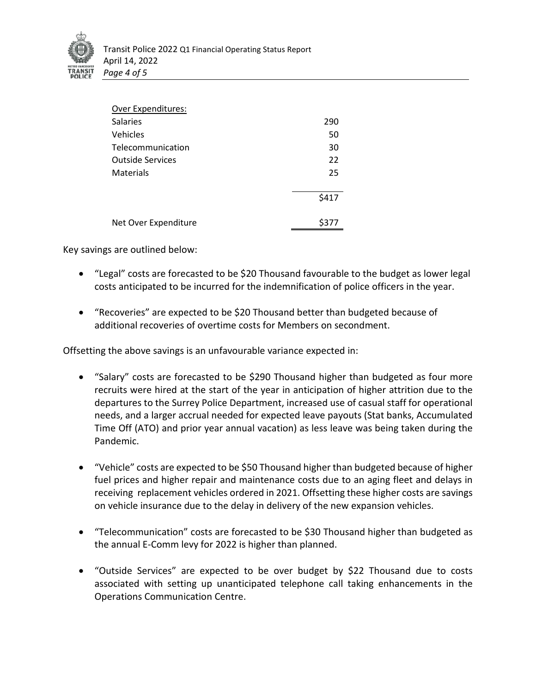

| <b>Over Expenditures:</b> |       |
|---------------------------|-------|
| <b>Salaries</b>           | 290   |
| Vehicles                  | 50    |
| Telecommunication         | 30    |
| <b>Outside Services</b>   | 22    |
| <b>Materials</b>          | 25    |
|                           | \$417 |
| Net Over Expenditure      | \$377 |

Key savings are outlined below:

- "Legal" costs are forecasted to be \$20 Thousand favourable to the budget as lower legal costs anticipated to be incurred for the indemnification of police officers in the year.
- "Recoveries" are expected to be \$20 Thousand better than budgeted because of additional recoveries of overtime costs for Members on secondment.

Offsetting the above savings is an unfavourable variance expected in:

- "Salary" costs are forecasted to be \$290 Thousand higher than budgeted as four more recruits were hired at the start of the year in anticipation of higher attrition due to the departures to the Surrey Police Department, increased use of casual staff for operational needs, and a larger accrual needed for expected leave payouts (Stat banks, Accumulated Time Off (ATO) and prior year annual vacation) as less leave was being taken during the Pandemic.
- "Vehicle" costs are expected to be \$50 Thousand higher than budgeted because of higher fuel prices and higher repair and maintenance costs due to an aging fleet and delays in receiving replacement vehicles ordered in 2021. Offsetting these higher costs are savings on vehicle insurance due to the delay in delivery of the new expansion vehicles.
- "Telecommunication" costs are forecasted to be \$30 Thousand higher than budgeted as the annual E-Comm levy for 2022 is higher than planned.
- "Outside Services" are expected to be over budget by \$22 Thousand due to costs associated with setting up unanticipated telephone call taking enhancements in the Operations Communication Centre.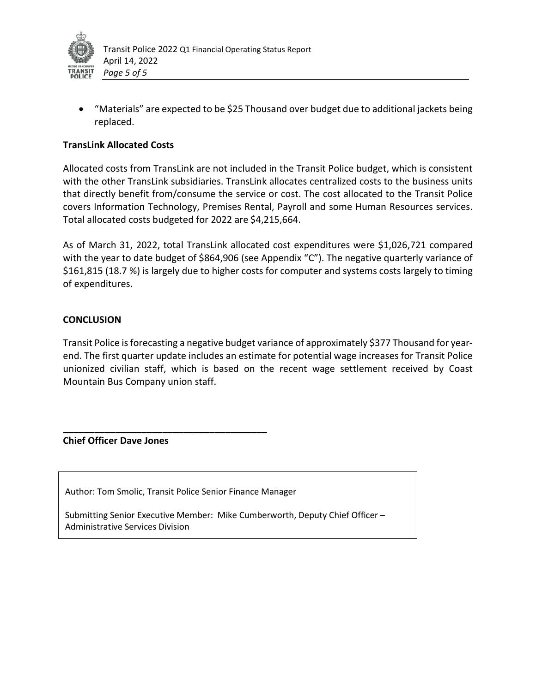

• "Materials" are expected to be \$25 Thousand over budget due to additional jackets being replaced.

### **TransLink Allocated Costs**

Allocated costs from TransLink are not included in the Transit Police budget, which is consistent with the other TransLink subsidiaries. TransLink allocates centralized costs to the business units that directly benefit from/consume the service or cost. The cost allocated to the Transit Police covers Information Technology, Premises Rental, Payroll and some Human Resources services. Total allocated costs budgeted for 2022 are \$4,215,664.

As of March 31, 2022, total TransLink allocated cost expenditures were \$1,026,721 compared with the year to date budget of \$864,906 (see Appendix "C"). The negative quarterly variance of \$161,815 (18.7 %) is largely due to higher costs for computer and systems costs largely to timing of expenditures.

#### **CONCLUSION**

Transit Police is forecasting a negative budget variance of approximately \$377 Thousand for yearend. The first quarter update includes an estimate for potential wage increases for Transit Police unionized civilian staff, which is based on the recent wage settlement received by Coast Mountain Bus Company union staff.

#### **Chief Officer Dave Jones**

Author: Tom Smolic, Transit Police Senior Finance Manager

**\_\_\_\_\_\_\_\_\_\_\_\_\_\_\_\_\_\_\_\_\_\_\_\_\_\_\_\_\_\_\_\_\_\_\_\_\_\_\_**

Submitting Senior Executive Member: Mike Cumberworth, Deputy Chief Officer – Administrative Services Division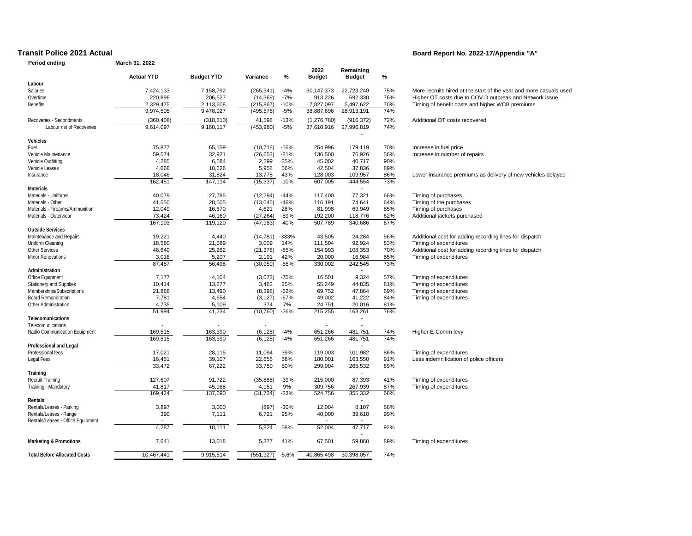#### **Period ending March 31, 2022**

#### **Transit Police 2021 Actual Board Report No. 2022-17/Appendix "A"**

| renoù enamg                         | Marchiof, 2022         |                        |                          |                 |                         |                            |            |                                                                    |
|-------------------------------------|------------------------|------------------------|--------------------------|-----------------|-------------------------|----------------------------|------------|--------------------------------------------------------------------|
|                                     | <b>Actual YTD</b>      | <b>Budget YTD</b>      | Variance                 | %               | 2022<br><b>Budget</b>   | Remaining<br><b>Budget</b> | $\%$       |                                                                    |
| Labour                              |                        |                        |                          |                 |                         |                            |            |                                                                    |
| Salaries                            | 7.424.133              | 7,158,792              | (265, 341)               | $-4%$           | 30,147,373              | 22,723,240                 | 75%        | More recruits hired at the start of the year and more casuals used |
| Overtime                            | 220,896                | 206,527                | (14, 369)                | $-7%$           | 913,226                 | 692,330                    | 76%        | Higher OT costs due to COV D outbreak and Network issue            |
|                                     |                        |                        |                          |                 |                         |                            |            |                                                                    |
| <b>Benefits</b>                     | 2,329,475<br>9,974,505 | 2,113,608<br>9,478,927 | (215, 867)<br>(495, 578) | $-10%$<br>$-5%$ | 7,827,097<br>38,887,696 | 5,497,622<br>28,913,191    | 70%<br>74% | Timing of benefit costs and higher WCB premiums                    |
| Recoveries - Secondments            | (360, 408)             | (318, 810)             | 41,598                   | $-13%$          | (1,276,780)             | (916, 372)                 | 72%        | Additional OT costs recovered                                      |
| Labour net of Recoveries            | 9,614,097              | 9,160,117              | (453,980)                | $-5%$           | 37,610,916              | 27,996,819                 | 74%        |                                                                    |
| Vehicles                            |                        |                        |                          |                 |                         |                            |            |                                                                    |
| Fuel                                | 75,877                 | 65,159                 | (10, 718)                | $-16%$          | 254,996                 | 179,119                    | 70%        | Increase in fuel price                                             |
| Vehicle Maintenance                 | 59,574                 | 32,921                 | (26, 653)                | $-81%$          | 136,500                 | 76,926                     | 56%        | Increase in number of repairs                                      |
| Vehicle Outfitting                  | 4,285                  | 6,584                  | 2,299                    | 35%             | 45,002                  | 40,717                     | 90%        |                                                                    |
| Vehicle Leases                      | 4,668                  | 10,626                 | 5,958                    | 56%             | 42,504                  | 37,836                     | 89%        |                                                                    |
|                                     |                        |                        |                          |                 |                         |                            |            |                                                                    |
| Insurance                           | 18,046                 | 31,824                 | 13,778                   | 43%             | 128,003                 | 109,957                    | 86%        | Lower insurance premiums as delivery of new vehicles delayed       |
| Materials                           | 162,451                | 147,114                | (15, 337)                | $-10%$          | 607,005                 | 444,554                    | 73%        |                                                                    |
| Materials - Uniforms                | 40,079                 | 27,785                 | (12, 294)                | $-44%$          | 117,400                 | 77,321                     | 66%        | Timing of purchases                                                |
|                                     |                        |                        |                          |                 |                         |                            |            |                                                                    |
| Materials - Other                   | 41,550                 | 28,505                 | (13,045)                 | $-46%$          | 116,191                 | 74,641                     | 64%        | Timing of the purchases                                            |
| Materials - Firearms/Ammunition     | 12,049                 | 16,670                 | 4,621                    | 28%             | 81,998                  | 69,949                     | 85%        | Timing of purchases                                                |
| Materials - Outerwear               | 73,424                 | 46,160                 | (27, 264)                | $-59%$          | 192,200                 | 118,776                    | 62%        | Additional jackets purchased                                       |
| Outside Services                    | 167,103                | 119,120                | (47, 983)                | $-40%$          | 507,789                 | 340,686                    | 67%        |                                                                    |
|                                     |                        |                        |                          |                 |                         |                            |            |                                                                    |
| Maintenance and Repairs             | 19.221                 | 4,440                  | (14, 781)                | $-333%$         | 43,505                  | 24,284                     | 56%        | Additional cost for adding recording lines for dispatch            |
| Uniform Cleaning                    | 18,580                 | 21,589                 | 3,009                    | 14%             | 111,504                 | 92,924                     | 83%        | Timing of expenditures                                             |
| <b>Other Services</b>               | 46,640                 | 25,262                 | (21, 378)                | $-85%$          | 154,993                 | 108,353                    | 70%        | Additional cost for adding recording lines for dispatch            |
| Minor Renovations                   | 3,016                  | 5,207                  | 2,191                    | 42%             | 20,000                  | 16,984                     | 85%        | Timing of expenditures                                             |
|                                     | 87,457                 | 56,498                 | (30, 959)                | $-55%$          | 330,002                 | 242,545                    | 73%        |                                                                    |
| Administration                      |                        |                        |                          |                 |                         | $\overline{a}$             |            |                                                                    |
| Office Equipment                    | 7,177                  | 4,104                  | (3,073)                  | $-75%$          | 16,501                  | 9,324                      | 57%        | Timing of expenditures                                             |
| Stationery and Supplies             | 10,414                 | 13,877                 | 3,463                    | 25%             | 55,249                  | 44,835                     | 81%        | Timing of expenditures                                             |
| Memberships/Subscriptions           | 21,888                 | 13,490                 | (8, 398)                 | $-62%$          | 69,752                  | 47,864                     | 69%        | Timing of expenditures                                             |
| Board Remuneration                  | 7,781                  | 4,654                  | (3, 127)                 | $-67%$          | 49,002                  | 41,222                     | 84%        | Timing of expenditures                                             |
| Other Administration                | 4,735                  | 5,109                  | 374                      | 7%              | 24,751                  | 20,016                     | 81%        |                                                                    |
|                                     | 51,994                 | 41,234                 | (10, 760)                | $-26%$          | 215,255                 | 163,261                    | 76%        |                                                                    |
| Telecomunications                   |                        |                        |                          |                 |                         | $\overline{\phantom{a}}$   |            |                                                                    |
| Telecomunications                   |                        |                        |                          |                 |                         |                            |            |                                                                    |
| Radio Communication Equipment       | 169,515                | 163,390                | (6, 125)                 | $-4%$           | 651,266                 | 481,751                    | 74%        | Higher E-Comm levy                                                 |
|                                     | 169,515                | 163,390                | (6, 125)                 | $-4%$           | 651,266                 | 481,751                    | 74%        |                                                                    |
| Professional and Legal              |                        |                        |                          |                 |                         |                            |            |                                                                    |
| Professional fees                   | 17,021                 | 28,115                 | 11,094                   | 39%             | 119,003                 | 101,982                    | 86%        | Timing of expenditures                                             |
|                                     |                        |                        |                          | 58%             |                         |                            |            |                                                                    |
| Legal Fees                          | 16,451                 | 39,107                 | 22,656                   |                 | 180,001                 | 163,550                    | 91%        | Less indemnification of police officers                            |
|                                     | 33,472                 | 67,222                 | 33,750                   | 50%             | 299,004                 | 265,532                    | 89%        |                                                                    |
| Training                            |                        |                        |                          |                 |                         |                            |            |                                                                    |
| Recruit Training                    | 127,607                | 91,722                 | (35, 885)                | $-39%$          | 215,000                 | 87,393                     | 41%        | Timing of expenditures                                             |
| Training - Mandatory                | 41,817                 | 45,968                 | 4,151                    | 9%              | 309,756                 | 267,939                    | 87%        | Timing of expenditures                                             |
|                                     | 169,424                | 137,690                | (31, 734)                | $-23%$          | 524,756                 | 355,332                    | 68%        |                                                                    |
| Rentals                             |                        |                        |                          |                 |                         | $\blacksquare$             |            |                                                                    |
| Rentals/Leases - Parking            | 3,897                  | 3,000                  | (897)                    | $-30%$          | 12,004                  | 8,107                      | 68%        |                                                                    |
| Rentals/Leases - Range              | 390                    | 7,111                  | 6,721                    | 95%             | 40,000                  | 39,610                     | 99%        |                                                                    |
| Rentals/Leases - Office Equipment   |                        |                        |                          |                 |                         |                            |            |                                                                    |
|                                     |                        | 10, 111                |                          |                 |                         |                            |            |                                                                    |
|                                     | 4,287                  |                        | 5,824                    | 58%             | 52,004                  | 47,717                     | 92%        |                                                                    |
| Marketing & Promotions              | 7,641                  | 13,018                 | 5,377                    | 41%             | 67,501                  | 59,860                     | 89%        | Timing of expenditures                                             |
| <b>Total Before Allocated Costs</b> | 10.467.441             | 9,915,514              | (551, 927)               | $-5.6%$         | 40,865,498              | 30,398,057                 | 74%        |                                                                    |
|                                     |                        |                        |                          |                 |                         |                            |            |                                                                    |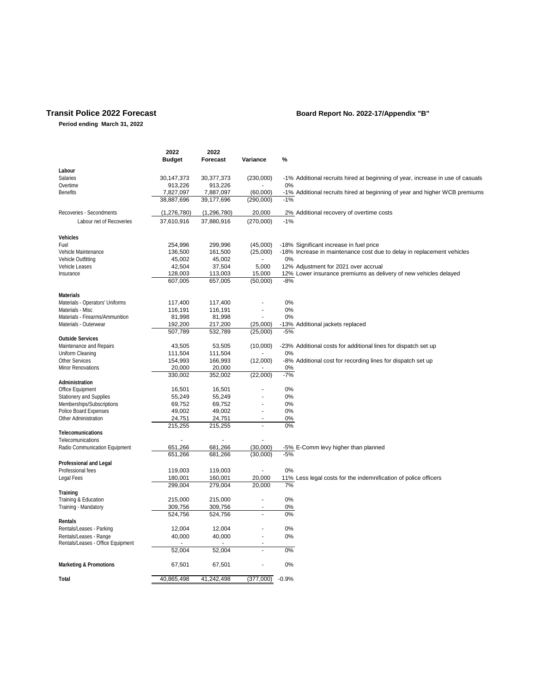#### **Transit Police 2022 Forecast Board Report No. 2022-17/Appendix "B"**

**Period ending March 31, 2022**

|                                                             | 2022<br><b>Budget</b> | 2022<br>Forecast   | Variance           | %       |                                                                                |
|-------------------------------------------------------------|-----------------------|--------------------|--------------------|---------|--------------------------------------------------------------------------------|
| Labour                                                      |                       |                    |                    |         |                                                                                |
| Salaries                                                    | 30,147,373            | 30,377,373         | (230,000)          |         | -1% Additional recruits hired at beginning of year, increase in use of casuals |
| Overtime                                                    | 913,226               | 913,226            |                    | 0%      |                                                                                |
| <b>Benefits</b>                                             | 7,827,097             | 7,887,097          | (60,000)           |         | -1% Additional recruits hired at beginning of year and higher WCB premiums     |
|                                                             | 38,887,696            | 39,177,696         | (290,000)          | $-1%$   |                                                                                |
| Recoveries - Secondments                                    | (1,276,780)           | (1,296,780)        | 20,000             |         | 2% Additional recovery of overtime costs                                       |
| Labour net of Recoveries                                    | 37,610,916            | 37,880,916         | (270,000)          | $-1%$   |                                                                                |
|                                                             |                       |                    |                    |         |                                                                                |
| Vehicles                                                    |                       |                    |                    |         |                                                                                |
| Fuel                                                        | 254,996               | 299,996            | (45,000)           |         | -18% Significant increase in fuel price                                        |
| Vehicle Maintenance                                         | 136,500               | 161,500            | (25,000)           |         | -18% Increase in maintenance cost due to delay in replacement vehicles         |
| Vehicle Outfitting                                          | 45,002                | 45,002             |                    | 0%      |                                                                                |
| Vehicle Leases                                              | 42,504                | 37,504             | 5,000              |         | 12% Adjustment for 2021 over accrual                                           |
| Insurance                                                   | 128,003<br>607,005    | 113,003<br>657,005 | 15,000<br>(50,000) | $-8%$   | 12% Lower insurance premiums as delivery of new vehicles delayed               |
|                                                             |                       |                    |                    |         |                                                                                |
| Materials                                                   |                       |                    |                    |         |                                                                                |
| Materials - Operators' Uniforms                             | 117,400               | 117,400            | ÷,                 | 0%      |                                                                                |
| Materials - Misc                                            | 116,191               | 116,191            |                    | 0%      |                                                                                |
| Materials - Firearms/Ammunition                             | 81,998                | 81,998             |                    | 0%      |                                                                                |
| Materials - Outerwear                                       | 192,200               | 217,200            | (25,000)           |         | -13% Additional jackets replaced                                               |
|                                                             | 507,789               | 532,789            | (25,000)           | $-5%$   |                                                                                |
| Outside Services                                            |                       |                    |                    |         |                                                                                |
| Maintenance and Repairs                                     | 43,505                | 53,505             | (10,000)           |         | -23% Additional costs for additional lines for dispatch set up                 |
| Uniform Cleaning                                            | 111,504               | 111,504            |                    | 0%      |                                                                                |
| <b>Other Services</b>                                       | 154,993               | 166,993            | (12,000)           |         | -8% Additional cost for recording lines for dispatch set up                    |
| Minor Renovations                                           | 20,000                | 20,000             |                    | 0%      |                                                                                |
|                                                             | 330,002               | 352,002            | (22,000)           | $-7%$   |                                                                                |
| Administration                                              |                       |                    |                    | 0%      |                                                                                |
| Office Equipment                                            | 16,501<br>55,249      | 16,501             |                    | 0%      |                                                                                |
| Stationery and Supplies                                     | 69,752                | 55,249<br>69,752   |                    | 0%      |                                                                                |
| Memberships/Subscriptions<br>Police Board Expenses          | 49,002                | 49,002             | ×,                 | 0%      |                                                                                |
| Other Administration                                        | 24,751                | 24,751             |                    | 0%      |                                                                                |
|                                                             | 215,255               | 215,255            | ÷,                 | 0%      |                                                                                |
| Telecomunications                                           |                       |                    |                    |         |                                                                                |
| Telecomunications                                           |                       |                    |                    |         |                                                                                |
| Radio Communication Equipment                               | 651,266               | 681,266            | (30,000)           |         | -5% E-Comm levy higher than planned                                            |
|                                                             | 651.266               | 681.266            | (30,000)           | $-5%$   |                                                                                |
| Professional and Legal                                      |                       |                    |                    |         |                                                                                |
| Professional fees                                           | 119,003               | 119,003            |                    | 0%      |                                                                                |
| Legal Fees                                                  | 180,001               | 160,001            | 20,000             |         | 11% Less legal costs for the indemnification of police officers                |
|                                                             | 299,004               | 279,004            | 20,000             | 7%      |                                                                                |
| Training                                                    |                       |                    |                    |         |                                                                                |
| Training & Education                                        | 215,000               | 215,000            |                    | 0%      |                                                                                |
| Training - Mandatory                                        | 309,756               | 309,756            |                    | 0%      |                                                                                |
|                                                             | 524,756               | 524,756            |                    | 0%      |                                                                                |
| Rentals                                                     |                       |                    |                    |         |                                                                                |
| Rentals/Leases - Parking                                    | 12,004                | 12,004             |                    | 0%      |                                                                                |
| Rentals/Leases - Range<br>Rentals/Leases - Office Equipment | 40,000                | 40,000             |                    | 0%      |                                                                                |
|                                                             | 52,004                | 52,004             | ÷,                 | 0%      |                                                                                |
|                                                             |                       |                    |                    |         |                                                                                |
| Marketing & Promotions                                      | 67,501                | 67,501             | ٠                  | 0%      |                                                                                |
| Total                                                       | 40,865,498            | 41,242,498         | (377,000)          | $-0.9%$ |                                                                                |